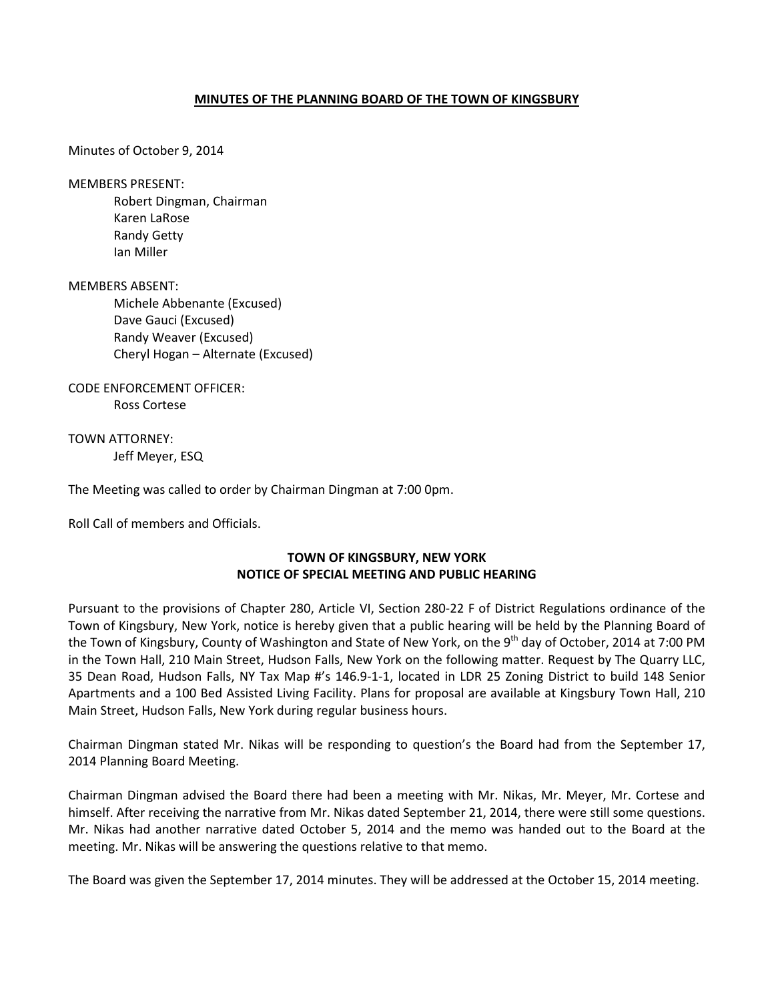### **MINUTES OF THE PLANNING BOARD OF THE TOWN OF KINGSBURY**

Minutes of October 9, 2014

MEMBERS PRESENT:

 Robert Dingman, Chairman Karen LaRose Randy Getty Ian Miller

MEMBERS ABSENT:

 Michele Abbenante (Excused) Dave Gauci (Excused) Randy Weaver (Excused) Cheryl Hogan – Alternate (Excused)

CODE ENFORCEMENT OFFICER: Ross Cortese

TOWN ATTORNEY: Jeff Meyer, ESQ

The Meeting was called to order by Chairman Dingman at 7:00 0pm.

Roll Call of members and Officials.

# **TOWN OF KINGSBURY, NEW YORK NOTICE OF SPECIAL MEETING AND PUBLIC HEARING**

Pursuant to the provisions of Chapter 280, Article VI, Section 280-22 F of District Regulations ordinance of the Town of Kingsbury, New York, notice is hereby given that a public hearing will be held by the Planning Board of the Town of Kingsbury, County of Washington and State of New York, on the 9<sup>th</sup> day of October, 2014 at 7:00 PM in the Town Hall, 210 Main Street, Hudson Falls, New York on the following matter. Request by The Quarry LLC, 35 Dean Road, Hudson Falls, NY Tax Map #'s 146.9-1-1, located in LDR 25 Zoning District to build 148 Senior Apartments and a 100 Bed Assisted Living Facility. Plans for proposal are available at Kingsbury Town Hall, 210 Main Street, Hudson Falls, New York during regular business hours.

Chairman Dingman stated Mr. Nikas will be responding to question's the Board had from the September 17, 2014 Planning Board Meeting.

Chairman Dingman advised the Board there had been a meeting with Mr. Nikas, Mr. Meyer, Mr. Cortese and himself. After receiving the narrative from Mr. Nikas dated September 21, 2014, there were still some questions. Mr. Nikas had another narrative dated October 5, 2014 and the memo was handed out to the Board at the meeting. Mr. Nikas will be answering the questions relative to that memo.

The Board was given the September 17, 2014 minutes. They will be addressed at the October 15, 2014 meeting.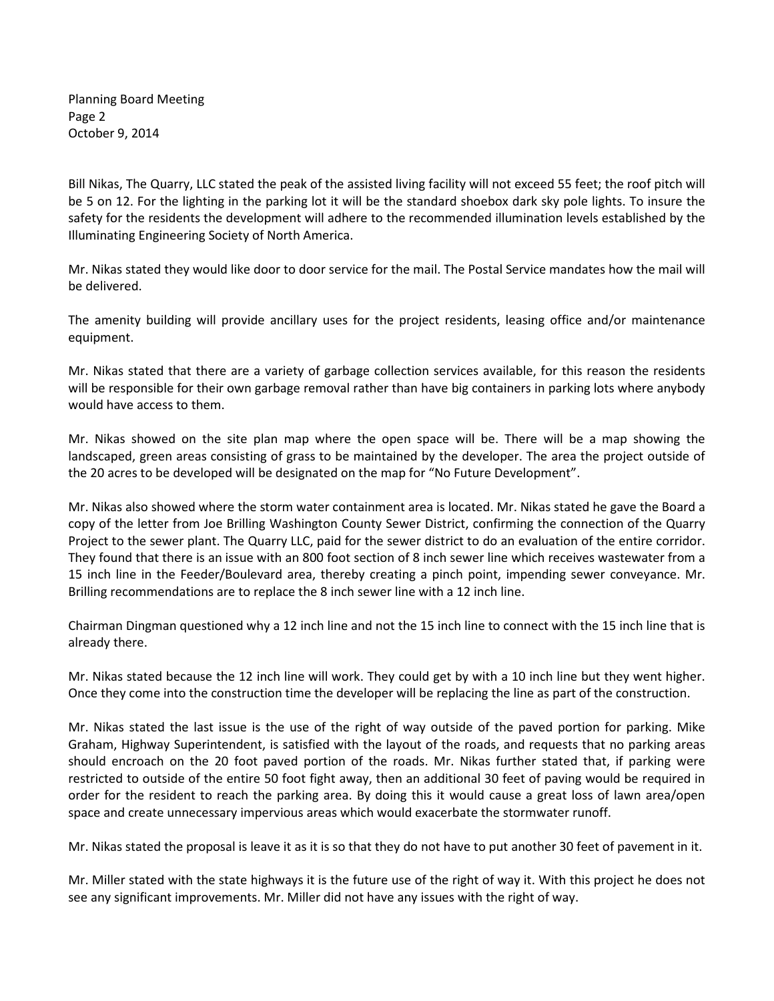Planning Board Meeting Page 2 October 9, 2014

Bill Nikas, The Quarry, LLC stated the peak of the assisted living facility will not exceed 55 feet; the roof pitch will be 5 on 12. For the lighting in the parking lot it will be the standard shoebox dark sky pole lights. To insure the safety for the residents the development will adhere to the recommended illumination levels established by the Illuminating Engineering Society of North America.

Mr. Nikas stated they would like door to door service for the mail. The Postal Service mandates how the mail will be delivered.

The amenity building will provide ancillary uses for the project residents, leasing office and/or maintenance equipment.

Mr. Nikas stated that there are a variety of garbage collection services available, for this reason the residents will be responsible for their own garbage removal rather than have big containers in parking lots where anybody would have access to them.

Mr. Nikas showed on the site plan map where the open space will be. There will be a map showing the landscaped, green areas consisting of grass to be maintained by the developer. The area the project outside of the 20 acres to be developed will be designated on the map for "No Future Development".

Mr. Nikas also showed where the storm water containment area is located. Mr. Nikas stated he gave the Board a copy of the letter from Joe Brilling Washington County Sewer District, confirming the connection of the Quarry Project to the sewer plant. The Quarry LLC, paid for the sewer district to do an evaluation of the entire corridor. They found that there is an issue with an 800 foot section of 8 inch sewer line which receives wastewater from a 15 inch line in the Feeder/Boulevard area, thereby creating a pinch point, impending sewer conveyance. Mr. Brilling recommendations are to replace the 8 inch sewer line with a 12 inch line.

Chairman Dingman questioned why a 12 inch line and not the 15 inch line to connect with the 15 inch line that is already there.

Mr. Nikas stated because the 12 inch line will work. They could get by with a 10 inch line but they went higher. Once they come into the construction time the developer will be replacing the line as part of the construction.

Mr. Nikas stated the last issue is the use of the right of way outside of the paved portion for parking. Mike Graham, Highway Superintendent, is satisfied with the layout of the roads, and requests that no parking areas should encroach on the 20 foot paved portion of the roads. Mr. Nikas further stated that, if parking were restricted to outside of the entire 50 foot fight away, then an additional 30 feet of paving would be required in order for the resident to reach the parking area. By doing this it would cause a great loss of lawn area/open space and create unnecessary impervious areas which would exacerbate the stormwater runoff.

Mr. Nikas stated the proposal is leave it as it is so that they do not have to put another 30 feet of pavement in it.

Mr. Miller stated with the state highways it is the future use of the right of way it. With this project he does not see any significant improvements. Mr. Miller did not have any issues with the right of way.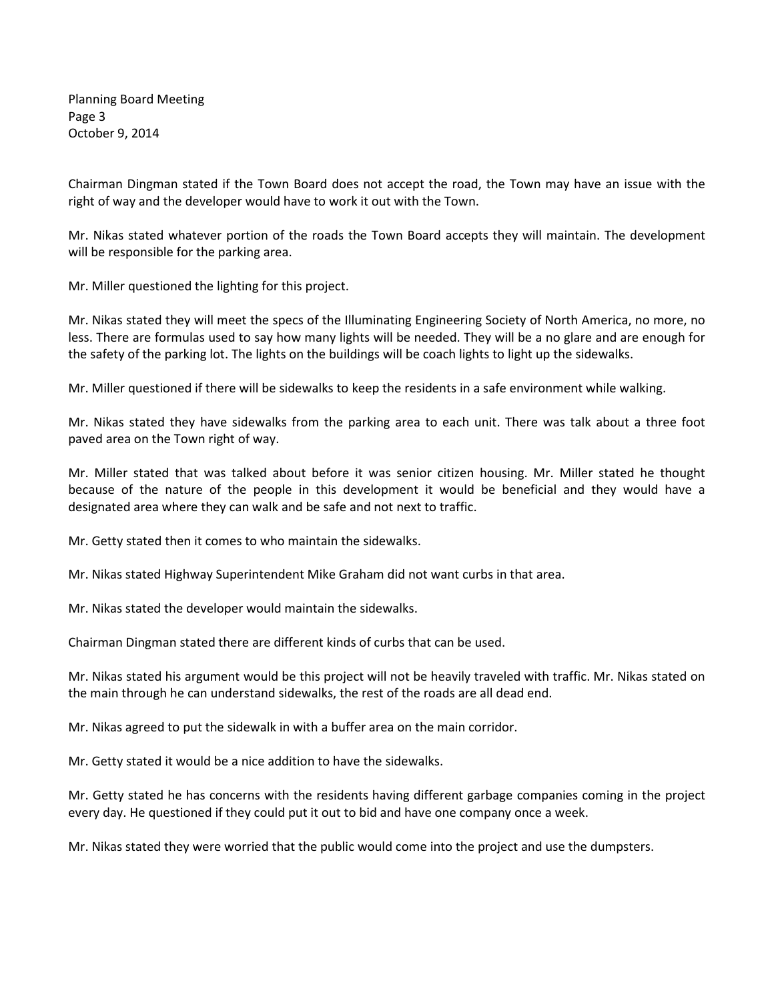Planning Board Meeting Page 3 October 9, 2014

Chairman Dingman stated if the Town Board does not accept the road, the Town may have an issue with the right of way and the developer would have to work it out with the Town.

Mr. Nikas stated whatever portion of the roads the Town Board accepts they will maintain. The development will be responsible for the parking area.

Mr. Miller questioned the lighting for this project.

Mr. Nikas stated they will meet the specs of the Illuminating Engineering Society of North America, no more, no less. There are formulas used to say how many lights will be needed. They will be a no glare and are enough for the safety of the parking lot. The lights on the buildings will be coach lights to light up the sidewalks.

Mr. Miller questioned if there will be sidewalks to keep the residents in a safe environment while walking.

Mr. Nikas stated they have sidewalks from the parking area to each unit. There was talk about a three foot paved area on the Town right of way.

Mr. Miller stated that was talked about before it was senior citizen housing. Mr. Miller stated he thought because of the nature of the people in this development it would be beneficial and they would have a designated area where they can walk and be safe and not next to traffic.

Mr. Getty stated then it comes to who maintain the sidewalks.

Mr. Nikas stated Highway Superintendent Mike Graham did not want curbs in that area.

Mr. Nikas stated the developer would maintain the sidewalks.

Chairman Dingman stated there are different kinds of curbs that can be used.

Mr. Nikas stated his argument would be this project will not be heavily traveled with traffic. Mr. Nikas stated on the main through he can understand sidewalks, the rest of the roads are all dead end.

Mr. Nikas agreed to put the sidewalk in with a buffer area on the main corridor.

Mr. Getty stated it would be a nice addition to have the sidewalks.

Mr. Getty stated he has concerns with the residents having different garbage companies coming in the project every day. He questioned if they could put it out to bid and have one company once a week.

Mr. Nikas stated they were worried that the public would come into the project and use the dumpsters.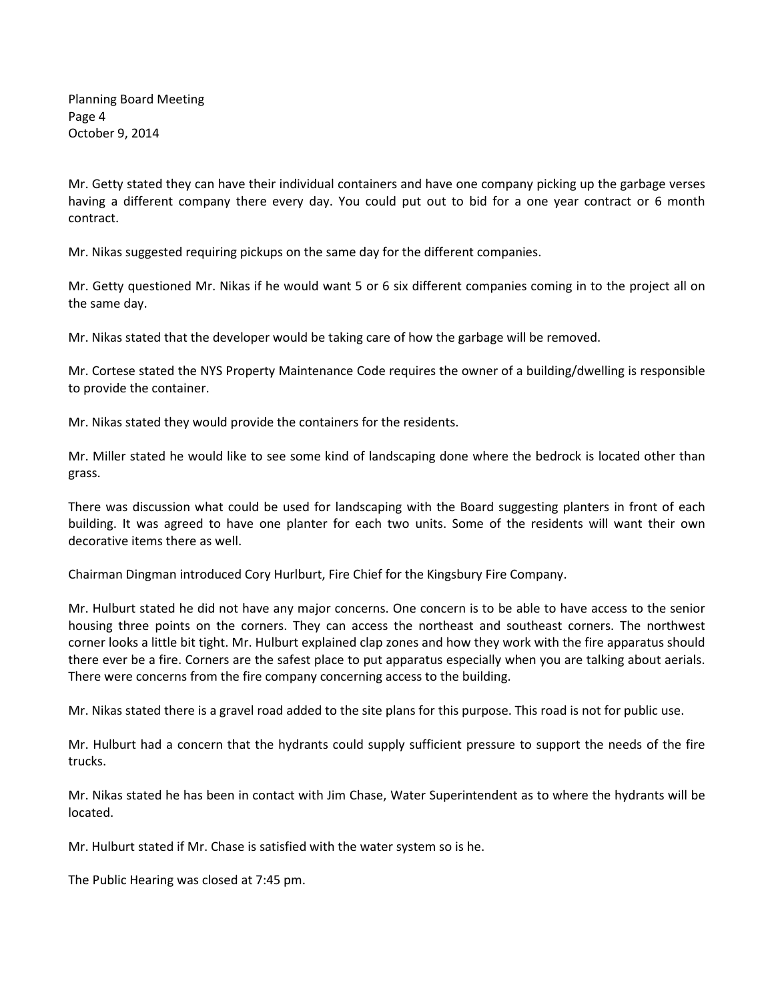Planning Board Meeting Page 4 October 9, 2014

Mr. Getty stated they can have their individual containers and have one company picking up the garbage verses having a different company there every day. You could put out to bid for a one year contract or 6 month contract.

Mr. Nikas suggested requiring pickups on the same day for the different companies.

Mr. Getty questioned Mr. Nikas if he would want 5 or 6 six different companies coming in to the project all on the same day.

Mr. Nikas stated that the developer would be taking care of how the garbage will be removed.

Mr. Cortese stated the NYS Property Maintenance Code requires the owner of a building/dwelling is responsible to provide the container.

Mr. Nikas stated they would provide the containers for the residents.

Mr. Miller stated he would like to see some kind of landscaping done where the bedrock is located other than grass.

There was discussion what could be used for landscaping with the Board suggesting planters in front of each building. It was agreed to have one planter for each two units. Some of the residents will want their own decorative items there as well.

Chairman Dingman introduced Cory Hurlburt, Fire Chief for the Kingsbury Fire Company.

Mr. Hulburt stated he did not have any major concerns. One concern is to be able to have access to the senior housing three points on the corners. They can access the northeast and southeast corners. The northwest corner looks a little bit tight. Mr. Hulburt explained clap zones and how they work with the fire apparatus should there ever be a fire. Corners are the safest place to put apparatus especially when you are talking about aerials. There were concerns from the fire company concerning access to the building.

Mr. Nikas stated there is a gravel road added to the site plans for this purpose. This road is not for public use.

Mr. Hulburt had a concern that the hydrants could supply sufficient pressure to support the needs of the fire trucks.

Mr. Nikas stated he has been in contact with Jim Chase, Water Superintendent as to where the hydrants will be located.

Mr. Hulburt stated if Mr. Chase is satisfied with the water system so is he.

The Public Hearing was closed at 7:45 pm.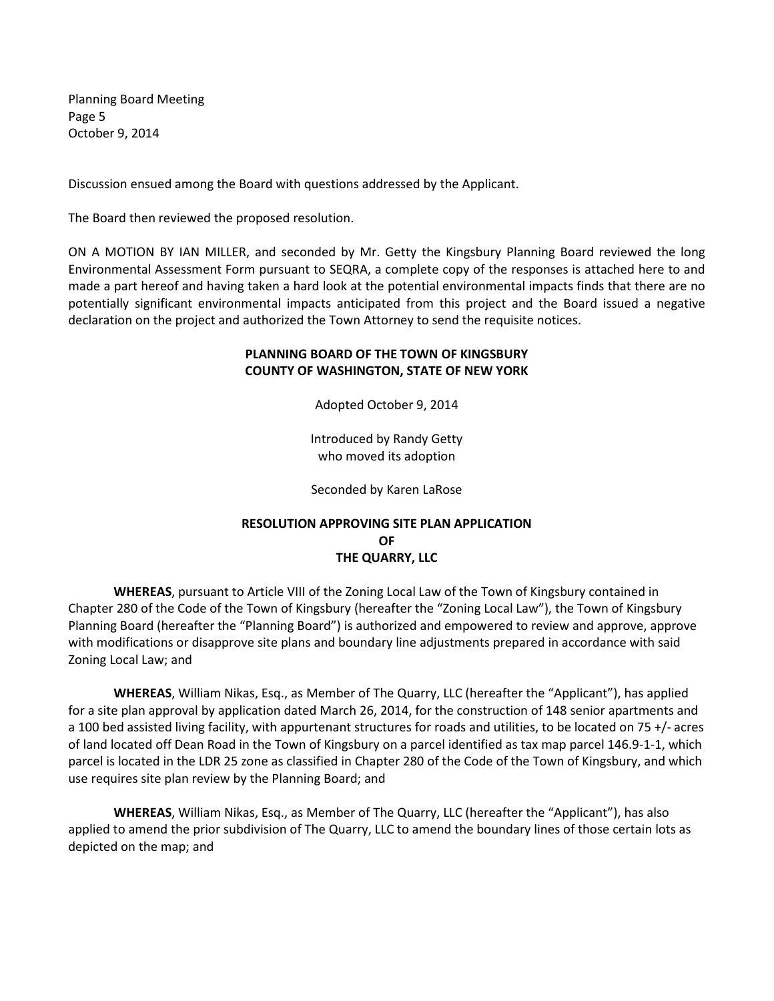Planning Board Meeting Page 5 October 9, 2014

Discussion ensued among the Board with questions addressed by the Applicant.

The Board then reviewed the proposed resolution.

ON A MOTION BY IAN MILLER, and seconded by Mr. Getty the Kingsbury Planning Board reviewed the long Environmental Assessment Form pursuant to SEQRA, a complete copy of the responses is attached here to and made a part hereof and having taken a hard look at the potential environmental impacts finds that there are no potentially significant environmental impacts anticipated from this project and the Board issued a negative declaration on the project and authorized the Town Attorney to send the requisite notices.

### **PLANNING BOARD OF THE TOWN OF KINGSBURY COUNTY OF WASHINGTON, STATE OF NEW YORK**

Adopted October 9, 2014

Introduced by Randy Getty who moved its adoption

Seconded by Karen LaRose

# **RESOLUTION APPROVING SITE PLAN APPLICATION OF THE QUARRY, LLC**

**WHEREAS**, pursuant to Article VIII of the Zoning Local Law of the Town of Kingsbury contained in Chapter 280 of the Code of the Town of Kingsbury (hereafter the "Zoning Local Law"), the Town of Kingsbury Planning Board (hereafter the "Planning Board") is authorized and empowered to review and approve, approve with modifications or disapprove site plans and boundary line adjustments prepared in accordance with said Zoning Local Law; and

**WHEREAS**, William Nikas, Esq., as Member of The Quarry, LLC (hereafter the "Applicant"), has applied for a site plan approval by application dated March 26, 2014, for the construction of 148 senior apartments and a 100 bed assisted living facility, with appurtenant structures for roads and utilities, to be located on 75 +/- acres of land located off Dean Road in the Town of Kingsbury on a parcel identified as tax map parcel 146.9-1-1, which parcel is located in the LDR 25 zone as classified in Chapter 280 of the Code of the Town of Kingsbury, and which use requires site plan review by the Planning Board; and

**WHEREAS**, William Nikas, Esq., as Member of The Quarry, LLC (hereafter the "Applicant"), has also applied to amend the prior subdivision of The Quarry, LLC to amend the boundary lines of those certain lots as depicted on the map; and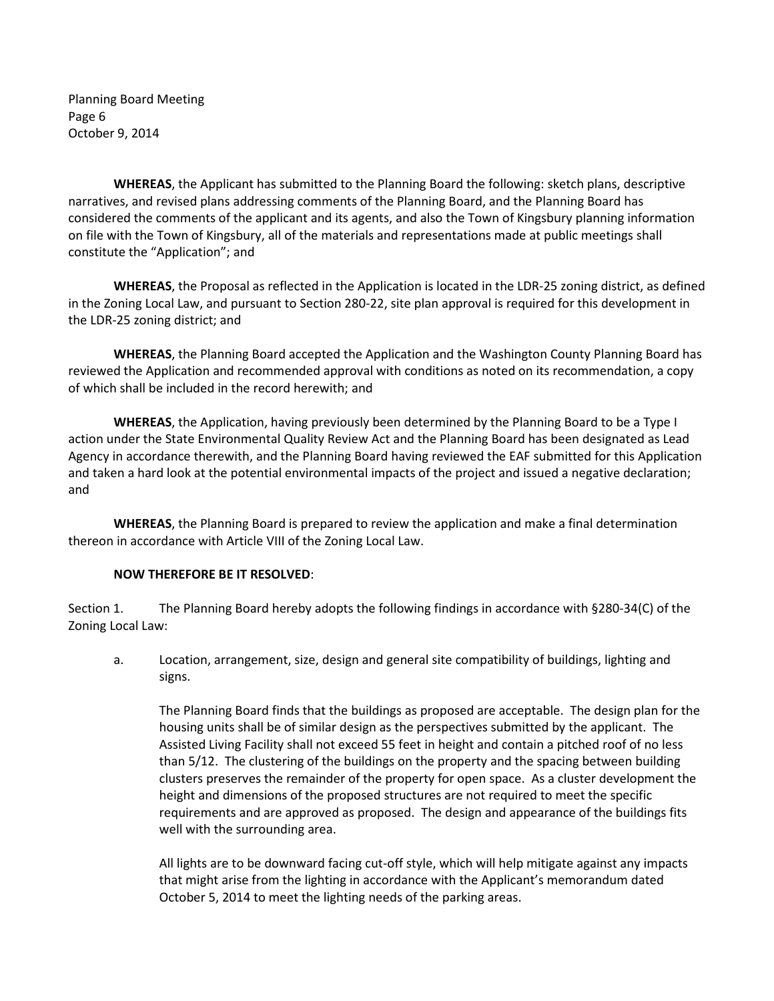Planning Board Meeting Page 6 October 9, 2014

**WHEREAS**, the Applicant has submitted to the Planning Board the following: sketch plans, descriptive narratives, and revised plans addressing comments of the Planning Board, and the Planning Board has considered the comments of the applicant and its agents, and also the Town of Kingsbury planning information on file with the Town of Kingsbury, all of the materials and representations made at public meetings shall constitute the "Application"; and

**WHEREAS**, the Proposal as reflected in the Application is located in the LDR-25 zoning district, as defined in the Zoning Local Law, and pursuant to Section 280-22, site plan approval is required for this development in the LDR-25 zoning district; and

**WHEREAS**, the Planning Board accepted the Application and the Washington County Planning Board has reviewed the Application and recommended approval with conditions as noted on its recommendation, a copy of which shall be included in the record herewith; and

**WHEREAS**, the Application, having previously been determined by the Planning Board to be a Type I action under the State Environmental Quality Review Act and the Planning Board has been designated as Lead Agency in accordance therewith, and the Planning Board having reviewed the EAF submitted for this Application and taken a hard look at the potential environmental impacts of the project and issued a negative declaration; and

**WHEREAS**, the Planning Board is prepared to review the application and make a final determination thereon in accordance with Article VIII of the Zoning Local Law.

### **NOW THEREFORE BE IT RESOLVED**:

Section 1. The Planning Board hereby adopts the following findings in accordance with §280-34(C) of the Zoning Local Law:

a. Location, arrangement, size, design and general site compatibility of buildings, lighting and signs.

The Planning Board finds that the buildings as proposed are acceptable. The design plan for the housing units shall be of similar design as the perspectives submitted by the applicant. The Assisted Living Facility shall not exceed 55 feet in height and contain a pitched roof of no less than 5/12. The clustering of the buildings on the property and the spacing between building clusters preserves the remainder of the property for open space. As a cluster development the height and dimensions of the proposed structures are not required to meet the specific requirements and are approved as proposed. The design and appearance of the buildings fits well with the surrounding area.

 All lights are to be downward facing cut-off style, which will help mitigate against any impacts that might arise from the lighting in accordance with the Applicant's memorandum dated October 5, 2014 to meet the lighting needs of the parking areas.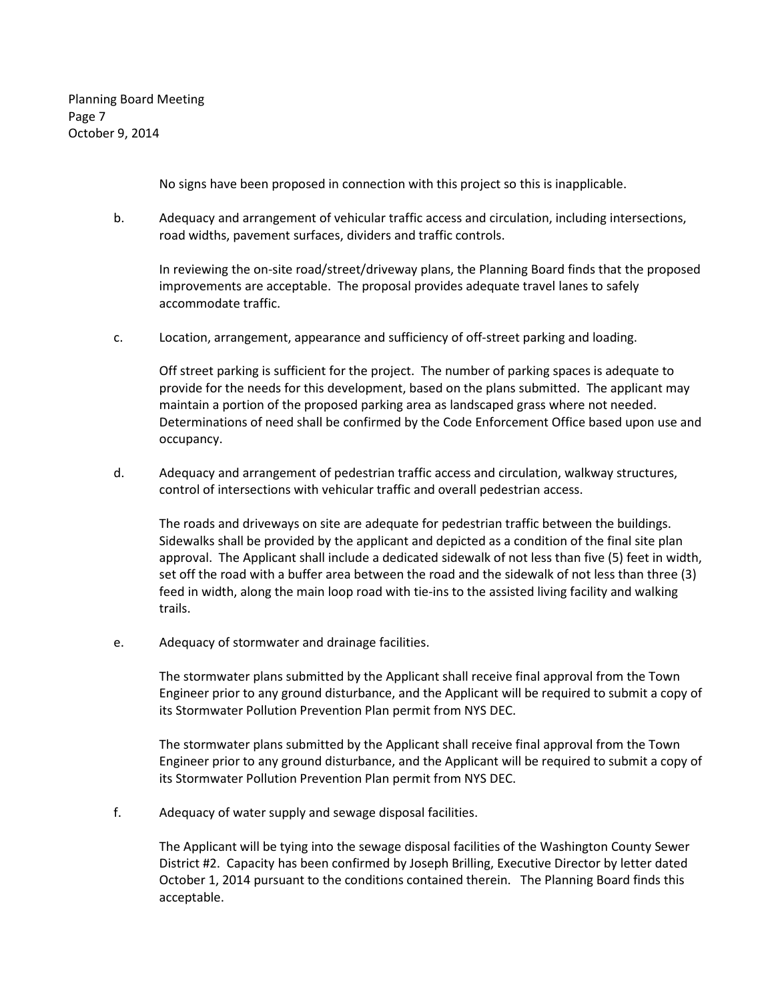Planning Board Meeting Page 7 October 9, 2014

No signs have been proposed in connection with this project so this is inapplicable.

b. Adequacy and arrangement of vehicular traffic access and circulation, including intersections, road widths, pavement surfaces, dividers and traffic controls.

 In reviewing the on-site road/street/driveway plans, the Planning Board finds that the proposed improvements are acceptable. The proposal provides adequate travel lanes to safely accommodate traffic.

c. Location, arrangement, appearance and sufficiency of off-street parking and loading.

 Off street parking is sufficient for the project. The number of parking spaces is adequate to provide for the needs for this development, based on the plans submitted. The applicant may maintain a portion of the proposed parking area as landscaped grass where not needed. Determinations of need shall be confirmed by the Code Enforcement Office based upon use and occupancy.

d. Adequacy and arrangement of pedestrian traffic access and circulation, walkway structures, control of intersections with vehicular traffic and overall pedestrian access.

 The roads and driveways on site are adequate for pedestrian traffic between the buildings. Sidewalks shall be provided by the applicant and depicted as a condition of the final site plan approval. The Applicant shall include a dedicated sidewalk of not less than five (5) feet in width, set off the road with a buffer area between the road and the sidewalk of not less than three (3) feed in width, along the main loop road with tie-ins to the assisted living facility and walking trails.

e. Adequacy of stormwater and drainage facilities.

 The stormwater plans submitted by the Applicant shall receive final approval from the Town Engineer prior to any ground disturbance, and the Applicant will be required to submit a copy of its Stormwater Pollution Prevention Plan permit from NYS DEC.

 The stormwater plans submitted by the Applicant shall receive final approval from the Town Engineer prior to any ground disturbance, and the Applicant will be required to submit a copy of its Stormwater Pollution Prevention Plan permit from NYS DEC.

f. Adequacy of water supply and sewage disposal facilities.

 The Applicant will be tying into the sewage disposal facilities of the Washington County Sewer District #2. Capacity has been confirmed by Joseph Brilling, Executive Director by letter dated October 1, 2014 pursuant to the conditions contained therein. The Planning Board finds this acceptable.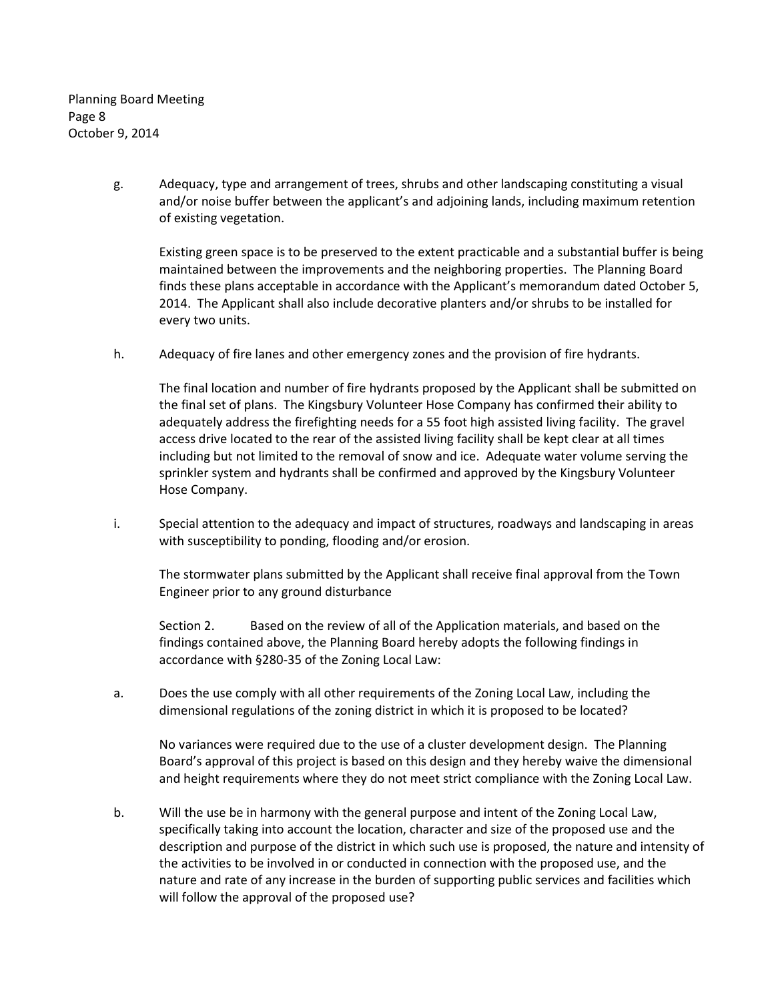Planning Board Meeting Page 8 October 9, 2014

> g. Adequacy, type and arrangement of trees, shrubs and other landscaping constituting a visual and/or noise buffer between the applicant's and adjoining lands, including maximum retention of existing vegetation.

 Existing green space is to be preserved to the extent practicable and a substantial buffer is being maintained between the improvements and the neighboring properties. The Planning Board finds these plans acceptable in accordance with the Applicant's memorandum dated October 5, 2014. The Applicant shall also include decorative planters and/or shrubs to be installed for every two units.

h. Adequacy of fire lanes and other emergency zones and the provision of fire hydrants.

 The final location and number of fire hydrants proposed by the Applicant shall be submitted on the final set of plans. The Kingsbury Volunteer Hose Company has confirmed their ability to adequately address the firefighting needs for a 55 foot high assisted living facility. The gravel access drive located to the rear of the assisted living facility shall be kept clear at all times including but not limited to the removal of snow and ice. Adequate water volume serving the sprinkler system and hydrants shall be confirmed and approved by the Kingsbury Volunteer Hose Company.

i. Special attention to the adequacy and impact of structures, roadways and landscaping in areas with susceptibility to ponding, flooding and/or erosion.

The stormwater plans submitted by the Applicant shall receive final approval from the Town Engineer prior to any ground disturbance

 Section 2. Based on the review of all of the Application materials, and based on the findings contained above, the Planning Board hereby adopts the following findings in accordance with §280-35 of the Zoning Local Law:

a. Does the use comply with all other requirements of the Zoning Local Law, including the dimensional regulations of the zoning district in which it is proposed to be located?

 No variances were required due to the use of a cluster development design. The Planning Board's approval of this project is based on this design and they hereby waive the dimensional and height requirements where they do not meet strict compliance with the Zoning Local Law.

b. Will the use be in harmony with the general purpose and intent of the Zoning Local Law, specifically taking into account the location, character and size of the proposed use and the description and purpose of the district in which such use is proposed, the nature and intensity of the activities to be involved in or conducted in connection with the proposed use, and the nature and rate of any increase in the burden of supporting public services and facilities which will follow the approval of the proposed use?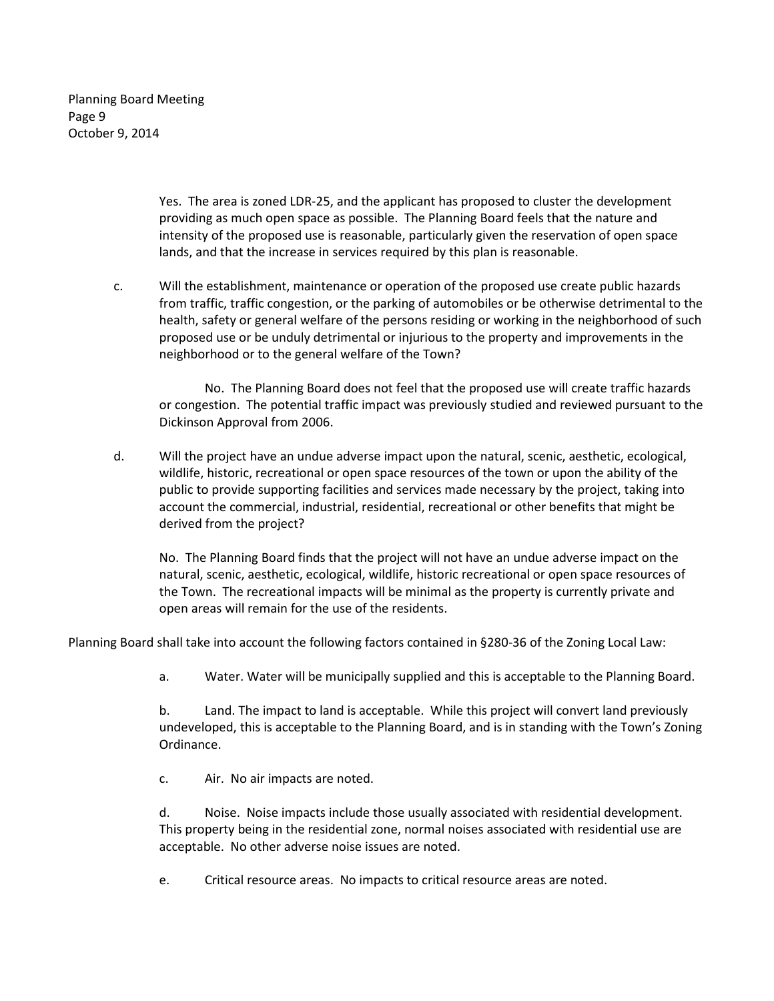Planning Board Meeting Page 9 October 9, 2014

> Yes. The area is zoned LDR-25, and the applicant has proposed to cluster the development providing as much open space as possible. The Planning Board feels that the nature and intensity of the proposed use is reasonable, particularly given the reservation of open space lands, and that the increase in services required by this plan is reasonable.

c. Will the establishment, maintenance or operation of the proposed use create public hazards from traffic, traffic congestion, or the parking of automobiles or be otherwise detrimental to the health, safety or general welfare of the persons residing or working in the neighborhood of such proposed use or be unduly detrimental or injurious to the property and improvements in the neighborhood or to the general welfare of the Town?

 No. The Planning Board does not feel that the proposed use will create traffic hazards or congestion. The potential traffic impact was previously studied and reviewed pursuant to the Dickinson Approval from 2006.

d. Will the project have an undue adverse impact upon the natural, scenic, aesthetic, ecological, wildlife, historic, recreational or open space resources of the town or upon the ability of the public to provide supporting facilities and services made necessary by the project, taking into account the commercial, industrial, residential, recreational or other benefits that might be derived from the project?

 No. The Planning Board finds that the project will not have an undue adverse impact on the natural, scenic, aesthetic, ecological, wildlife, historic recreational or open space resources of the Town. The recreational impacts will be minimal as the property is currently private and open areas will remain for the use of the residents.

Planning Board shall take into account the following factors contained in §280-36 of the Zoning Local Law:

a. Water. Water will be municipally supplied and this is acceptable to the Planning Board.

 b. Land. The impact to land is acceptable. While this project will convert land previously undeveloped, this is acceptable to the Planning Board, and is in standing with the Town's Zoning Ordinance.

c. Air. No air impacts are noted.

 d. Noise. Noise impacts include those usually associated with residential development. This property being in the residential zone, normal noises associated with residential use are acceptable. No other adverse noise issues are noted.

e. Critical resource areas. No impacts to critical resource areas are noted.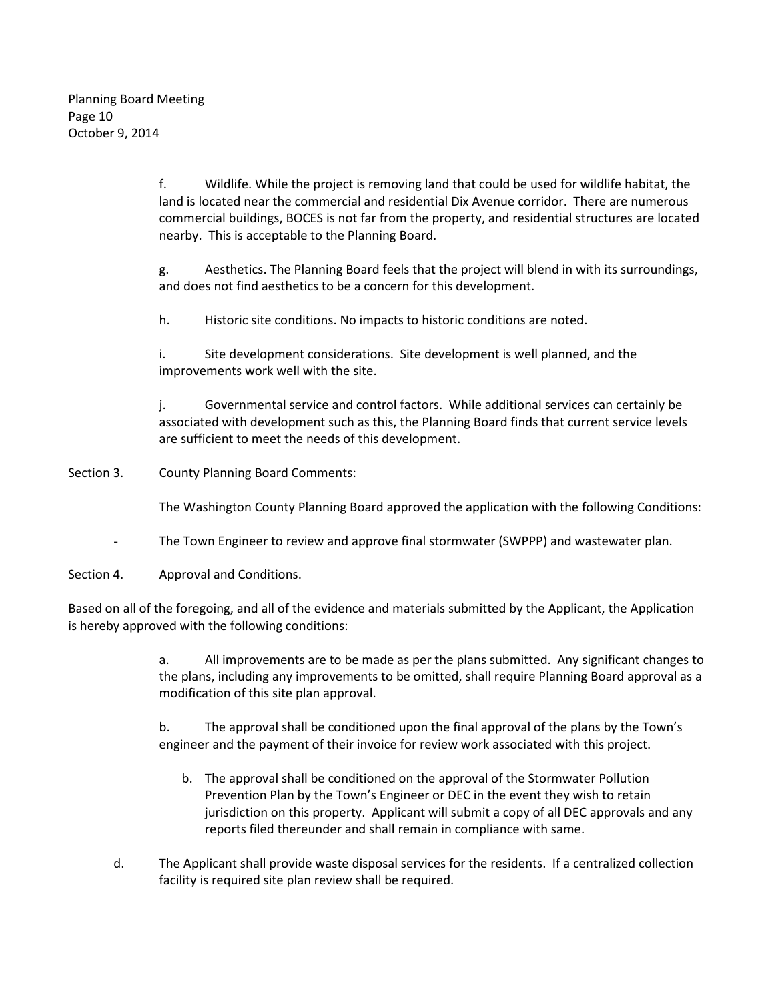f. Wildlife. While the project is removing land that could be used for wildlife habitat, the land is located near the commercial and residential Dix Avenue corridor. There are numerous commercial buildings, BOCES is not far from the property, and residential structures are located nearby. This is acceptable to the Planning Board.

 g. Aesthetics. The Planning Board feels that the project will blend in with its surroundings, and does not find aesthetics to be a concern for this development.

h. Historic site conditions. No impacts to historic conditions are noted.

 i. Site development considerations. Site development is well planned, and the improvements work well with the site.

 j. Governmental service and control factors. While additional services can certainly be associated with development such as this, the Planning Board finds that current service levels are sufficient to meet the needs of this development.

# Section 3. County Planning Board Comments:

The Washington County Planning Board approved the application with the following Conditions:

- The Town Engineer to review and approve final stormwater (SWPPP) and wastewater plan.
- Section 4. Approval and Conditions.

Based on all of the foregoing, and all of the evidence and materials submitted by the Applicant, the Application is hereby approved with the following conditions:

> a. All improvements are to be made as per the plans submitted. Any significant changes to the plans, including any improvements to be omitted, shall require Planning Board approval as a modification of this site plan approval.

 b. The approval shall be conditioned upon the final approval of the plans by the Town's engineer and the payment of their invoice for review work associated with this project.

- b. The approval shall be conditioned on the approval of the Stormwater Pollution Prevention Plan by the Town's Engineer or DEC in the event they wish to retain jurisdiction on this property. Applicant will submit a copy of all DEC approvals and any reports filed thereunder and shall remain in compliance with same.
- d. The Applicant shall provide waste disposal services for the residents. If a centralized collection facility is required site plan review shall be required.